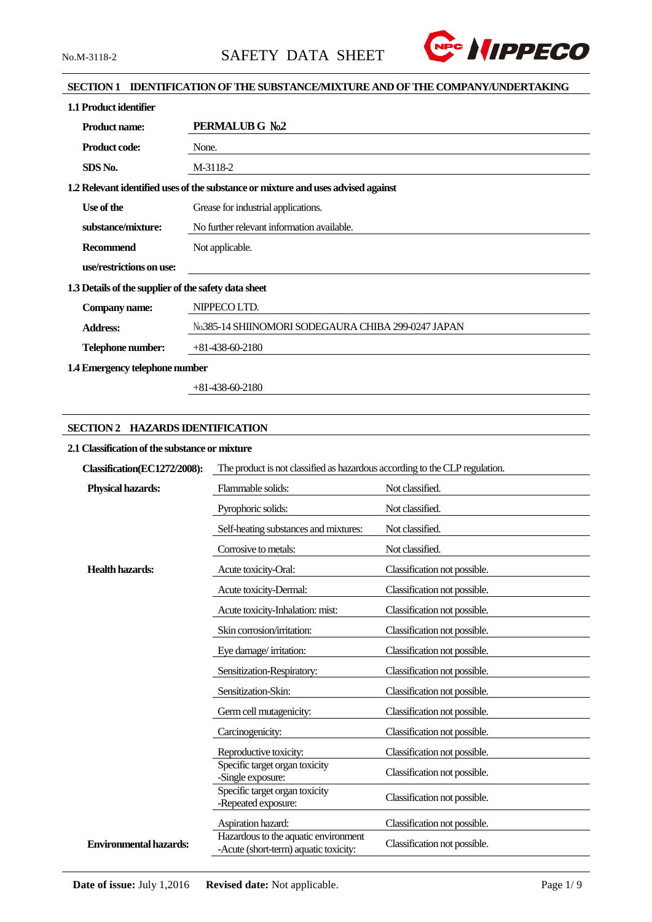

# **SECTION 1 IDENTIFICATION OF THE SUBSTANCE/MIXTURE AND OF THE COMPANY/UNDERTAKING**

| 1.1 Product identifier                               |                                                                                   |
|------------------------------------------------------|-----------------------------------------------------------------------------------|
| <b>Product name:</b>                                 | PERMALUB G No.2                                                                   |
| <b>Product code:</b>                                 | None.                                                                             |
| SDS No.                                              | M-3118-2                                                                          |
|                                                      | 1.2 Relevant identified uses of the substance or mixture and uses advised against |
| Use of the                                           | Grease for industrial applications.                                               |
| substance/mixture:                                   | No further relevant information available.                                        |
| Recommend                                            | Not applicable.                                                                   |
| use/restrictions on use:                             |                                                                                   |
| 1.3 Details of the supplier of the safety data sheet |                                                                                   |
| Company name:                                        | NIPPECO LTD.                                                                      |
| <b>Address:</b>                                      | No.385-14 SHIINOMORI SODEGAURA CHIBA 299-0247 JAPAN                               |
| Telephone number:                                    | $+81-438-60-2180$                                                                 |
| 1.4 Emergency telephone number                       |                                                                                   |

+81-438-60-2180

# **SECTION 2 HAZARDS IDENTIFICATION**

# **2.1 Classification of the substance or mixture**

| Classification(EC1272/2008):  | The product is not classified as hazardous according to the CLP regulation.   |                              |  |
|-------------------------------|-------------------------------------------------------------------------------|------------------------------|--|
| <b>Physical hazards:</b>      | Flammable solids:                                                             | Not classified.              |  |
|                               | Pyrophoric solids:                                                            | Not classified.              |  |
|                               | Self-heating substances and mixtures:                                         | Not classified.              |  |
|                               | Corrosive to metals:                                                          | Not classified.              |  |
| <b>Health hazards:</b>        | Acute toxicity-Oral:                                                          | Classification not possible. |  |
|                               | Acute toxicity-Dermal:                                                        | Classification not possible. |  |
|                               | Acute toxicity-Inhalation: mist:                                              | Classification not possible. |  |
|                               | Skin corrosion/irritation:                                                    | Classification not possible. |  |
|                               | Eye damage/irritation:                                                        | Classification not possible. |  |
|                               | Sensitization-Respiratory:                                                    | Classification not possible. |  |
|                               | Sensitization-Skin:                                                           | Classification not possible. |  |
|                               | Germ cell mutagenicity:                                                       | Classification not possible. |  |
|                               | Carcinogenicity:                                                              | Classification not possible. |  |
|                               | Reproductive toxicity:                                                        | Classification not possible. |  |
|                               | Specific target organ toxicity<br>-Single exposure:                           | Classification not possible. |  |
|                               | Specific target organ toxicity<br>-Repeated exposure:                         | Classification not possible. |  |
|                               | Aspiration hazard:                                                            | Classification not possible. |  |
| <b>Environmental hazards:</b> | Hazardous to the aquatic environment<br>-Acute (short-term) aquatic toxicity: | Classification not possible. |  |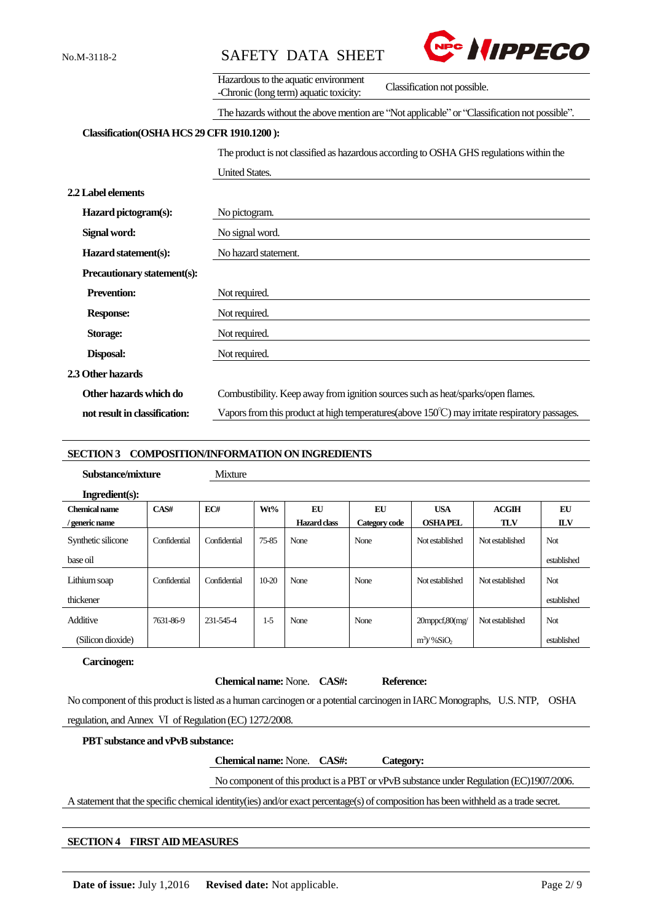



|                                            | Hazardous to the aquatic environment<br>Classification not possible.<br>-Chronic (long term) aquatic toxicity: |
|--------------------------------------------|----------------------------------------------------------------------------------------------------------------|
|                                            | The hazards without the above mention are "Not applicable" or "Classification not possible".                   |
| Classification(OSHA HCS 29 CFR 1910.1200): |                                                                                                                |
|                                            | The product is not classified as hazardous according to OSHA GHS regulations within the                        |
|                                            | <b>United States.</b>                                                                                          |
| 2.2 Label elements                         |                                                                                                                |
| Hazard pictogram(s):                       | No pictogram.                                                                                                  |
| Signal word:                               | No signal word.                                                                                                |
| Hazard statement(s):                       | No hazard statement.                                                                                           |
| Precautionary statement(s):                |                                                                                                                |
| <b>Prevention:</b>                         | Not required.                                                                                                  |
| <b>Response:</b>                           | Not required.                                                                                                  |
| <b>Storage:</b>                            | Not required.                                                                                                  |
| Disposal:                                  | Not required.                                                                                                  |
| 2.3 Other hazards                          |                                                                                                                |
| Other hazards which do                     | Combustibility. Keep away from ignition sources such as heat/sparks/open flames.                               |
| not result in classification:              | Vapors from this product at high temperatures (above $150^{\circ}$ C) may irritate respiratory passages.       |

#### **SECTION 3 COMPOSITION/INFORMATION ON INGREDIENTS**

| Substance/mixture  |              | <b>Mixture</b> |           |                     |               |                          |                 |             |
|--------------------|--------------|----------------|-----------|---------------------|---------------|--------------------------|-----------------|-------------|
| Ingradient(s):     |              |                |           |                     |               |                          |                 |             |
| Chemical name      | CAS#         | EC#            | Wt%       | EU                  | EU            | <b>USA</b>               | ACGIH           | EU          |
| generic name       |              |                |           | <b>Hazard</b> class | Category code | <b>OSHAPEL</b>           | <b>TLV</b>      | <b>ILV</b>  |
| Synthetic silicone | Confidential | Confidential   | 75-85     | None                | None          | Not established          | Not established | <b>Not</b>  |
| base oil           |              |                |           |                     |               |                          |                 | established |
| Lithium soap       | Confidential | Confidential   | $10 - 20$ | None                | None          | Not established          | Not established | <b>Not</b>  |
| thickener          |              |                |           |                     |               |                          |                 | established |
| Additive           | 7631-86-9    | 231-545-4      | $1-5$     | None                | None          | $20$ mppcf, $80$ (mg/    | Not established | Not         |
| (Silicon dioxide)  |              |                |           |                     |               | $m^3$ /%SiO <sub>2</sub> |                 | established |

#### **Carcinogen:**

**Chemical name:** None. **CAS#: Reference:**

No component of this product is listed as a human carcinogen or a potential carcinogen in IARC Monographs, U.S. NTP, OSHA regulation, and Annex Ⅵ of Regulation (EC) 1272/2008.

#### **PBT substance and vPvB substance:**

**Chemical name:** None. **CAS#: Category:**

No component of this product is a PBT or vPvB substance under Regulation (EC)1907/2006.

A statement that the specific chemical identity(ies) and/or exact percentage(s) of composition has been withheld as a trade secret.

#### **SECTION 4 FIRST AIDMEASURES**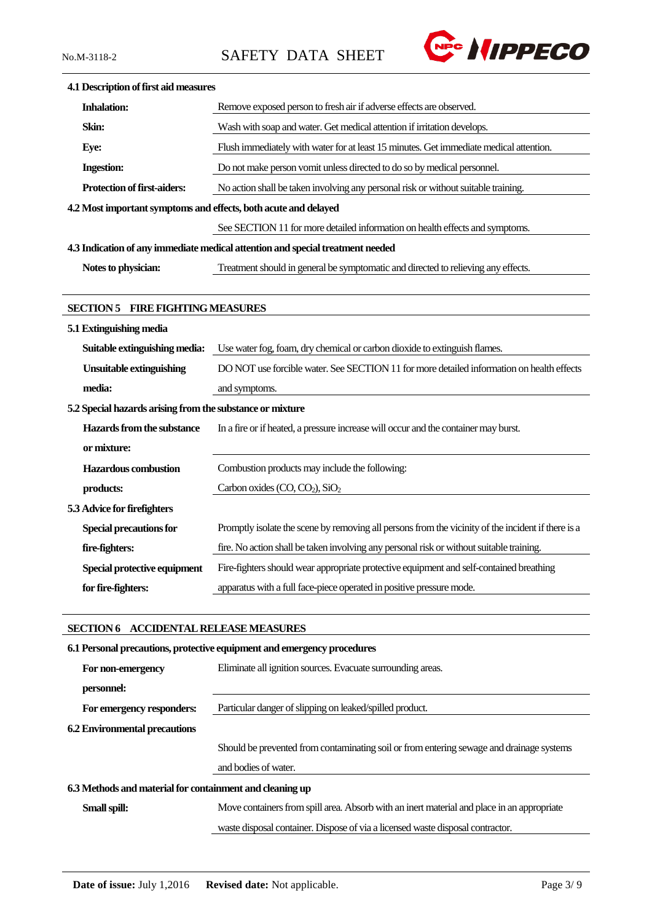No.M-3118-2 SAFETY DATA SHEET



| 4.1 Description of first aid measures                           |                                                                                                    |
|-----------------------------------------------------------------|----------------------------------------------------------------------------------------------------|
| <b>Inhalation:</b>                                              | Remove exposed person to fresh air if adverse effects are observed.                                |
| Skin:                                                           | Wash with soap and water. Get medical attention if irritation develops.                            |
| Eye:                                                            | Flush immediately with water for at least 15 minutes. Get immediate medical attention.             |
| <b>Ingestion:</b>                                               | Do not make person vomit unless directed to do so by medical personnel.                            |
| <b>Protection of first-aiders:</b>                              | No action shall be taken involving any personal risk or without suitable training.                 |
| 4.2 Most important symptoms and effects, both acute and delayed |                                                                                                    |
|                                                                 | See SECTION 11 for more detailed information on health effects and symptoms.                       |
|                                                                 | 4.3 Indication of any immediate medical attention and special treatment needed                     |
| Notes to physician:                                             | Treatment should in general be symptomatic and directed to relieving any effects.                  |
|                                                                 |                                                                                                    |
| <b>SECTION 5 FIRE FIGHTING MEASURES</b>                         |                                                                                                    |
| 5.1 Extinguishing media                                         |                                                                                                    |
| Suitable extinguishing media:                                   | Use water fog, foam, dry chemical or carbon dioxide to extinguish flames.                          |
| <b>Unsuitable extinguishing</b>                                 | DO NOT use forcible water. See SECTION 11 for more detailed information on health effects          |
| media:                                                          | and symptoms.                                                                                      |
| 5.2 Special hazards arising from the substance or mixture       |                                                                                                    |
| Hazards from the substance                                      | In a fire or if heated, a pressure increase will occur and the container may burst.                |
| or mixture:                                                     |                                                                                                    |
| <b>Hazardous</b> combustion                                     | Combustion products may include the following:                                                     |
| products:                                                       | Carbon oxides (CO, CO <sub>2</sub> ), SiO <sub>2</sub>                                             |
| 5.3 Advice for firefighters                                     |                                                                                                    |
| <b>Special precautions for</b>                                  | Promptly isolate the scene by removing all persons from the vicinity of the incident if there is a |
| fire-fighters:                                                  | fire. No action shall be taken involving any personal risk or without suitable training.           |
| Special protective equipment                                    | Fire-fighters should wear appropriate protective equipment and self-contained breathing            |
| for fire-fighters:                                              | apparatus with a full face-piece operated in positive pressure mode.                               |
|                                                                 |                                                                                                    |

# **SECTION 6 ACCIDENTAL RELEASE MEASURES**

| 6.1 Personal precautions, protective equipment and emergency procedures |                                                                                            |  |  |
|-------------------------------------------------------------------------|--------------------------------------------------------------------------------------------|--|--|
| For non-emergency                                                       | Eliminate all ignition sources. Evacuate surrounding areas.                                |  |  |
| personnel:                                                              |                                                                                            |  |  |
| For emergency responders:                                               | Particular danger of slipping on leaked/spilled product.                                   |  |  |
| <b>6.2 Environmental precautions</b>                                    |                                                                                            |  |  |
|                                                                         | Should be prevented from contaminating soil or from entering sewage and drainage systems   |  |  |
|                                                                         | and bodies of water.                                                                       |  |  |
| 6.3 Methods and material for containment and cleaning up                |                                                                                            |  |  |
| Small spill:                                                            | Move containers from spill area. Absorb with an inert material and place in an appropriate |  |  |
|                                                                         | waste disposal container. Dispose of via a licensed waste disposal contractor.             |  |  |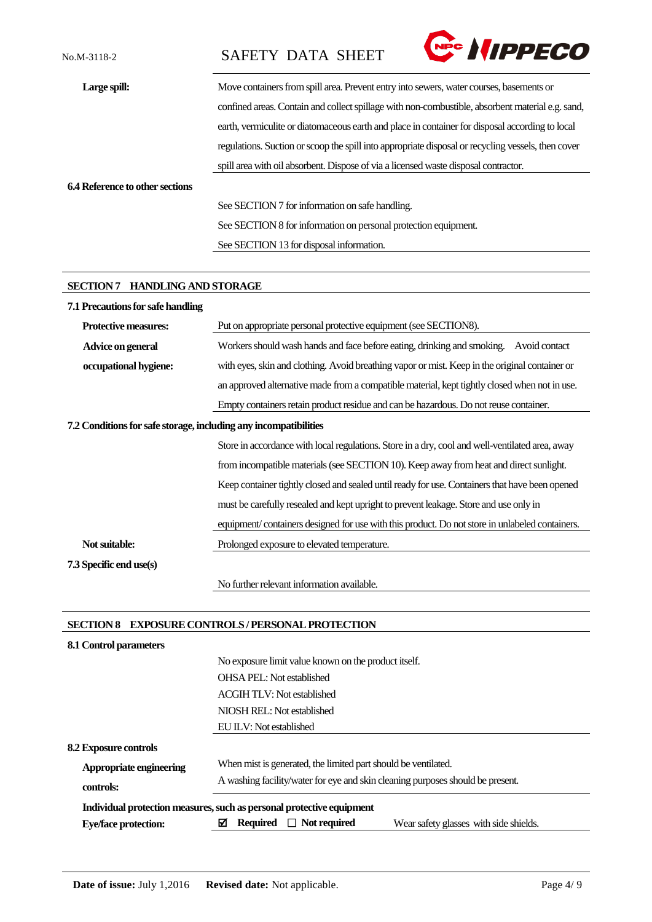No.M-3118-2 SAFETY DATA SHEET



| Large spill:                    | Move containers from spill area. Prevent entry into sewers, water courses, basements or            |
|---------------------------------|----------------------------------------------------------------------------------------------------|
|                                 | confined areas. Contain and collect spillage with non-combustible, absorbent material e.g. sand,   |
|                                 | earth, vermiculite or diatomaceous earth and place in container for disposal according to local    |
|                                 | regulations. Suction or scoop the spill into appropriate disposal or recycling vessels, then cover |
|                                 | spill area with oil absorbent. Dispose of via a licensed waste disposal contractor.                |
| 6.4 Reference to other sections |                                                                                                    |
|                                 | See SECTION 7 for information on safe handling.                                                    |
|                                 | See SECTION 8 for information on personal protection equipment.                                    |
|                                 | See SECTION 13 for disposal information.                                                           |

#### **SECTION 7 HANDLING AND STORAGE**

| 7.1 Precautions for safe handling                                |                                                                                                 |
|------------------------------------------------------------------|-------------------------------------------------------------------------------------------------|
| <b>Protective measures:</b>                                      | Put on appropriate personal protective equipment (see SECTION8).                                |
| Advice on general                                                | Workers should wash hands and face before eating, drinking and smoking.<br>Avoid contact        |
| occupational hygiene:                                            | with eyes, skin and clothing. Avoid breathing vapor or mist. Keep in the original container or  |
|                                                                  | an approved alternative made from a compatible material, kept tightly closed when not in use.   |
|                                                                  | Empty containers retain product residue and can be hazardous. Do not reuse container.           |
| 7.2 Conditions for safe storage, including any incompatibilities |                                                                                                 |
|                                                                  | Store in accordance with local regulations. Store in a dry, cool and well-ventilated area, away |
|                                                                  | from incompatible materials (see SECTION 10). Keep away from heat and direct sunlight.          |
|                                                                  | Keep container tightly closed and sealed until ready for use. Containers that have been opened  |
|                                                                  | must be carefully resealed and kept upright to prevent leakage. Store and use only in           |
|                                                                  | equipment/containers designed for use with this product. Do not store in unlabeled containers.  |
| Not suitable:                                                    | Prolonged exposure to elevated temperature.                                                     |
| 7.3 Specific end use(s)                                          |                                                                                                 |
|                                                                  | No further relevant information available.                                                      |

# **SECTION 8 EXPOSURE CONTROLS / PERSONAL PROTECTION**

| 8.1 Control parameters       |                                                                                       |
|------------------------------|---------------------------------------------------------------------------------------|
|                              | No exposure limit value known on the product itself.                                  |
|                              | <b>OHSA PEL:</b> Not established                                                      |
|                              | <b>ACGIH TLV: Not established</b>                                                     |
|                              | NIOSH REL: Not established                                                            |
|                              | EU ILV: Not established                                                               |
| <b>8.2 Exposure controls</b> |                                                                                       |
| Appropriate engineering      | When mist is generated, the limited part should be ventilated.                        |
| controls:                    | A washing facility/water for eye and skin cleaning purposes should be present.        |
|                              | Individual protection measures, such as personal protective equipment                 |
| <b>Eye/face protection:</b>  | M<br><b>Required</b><br>$\Box$ Not required<br>Wear safety glasses with side shields. |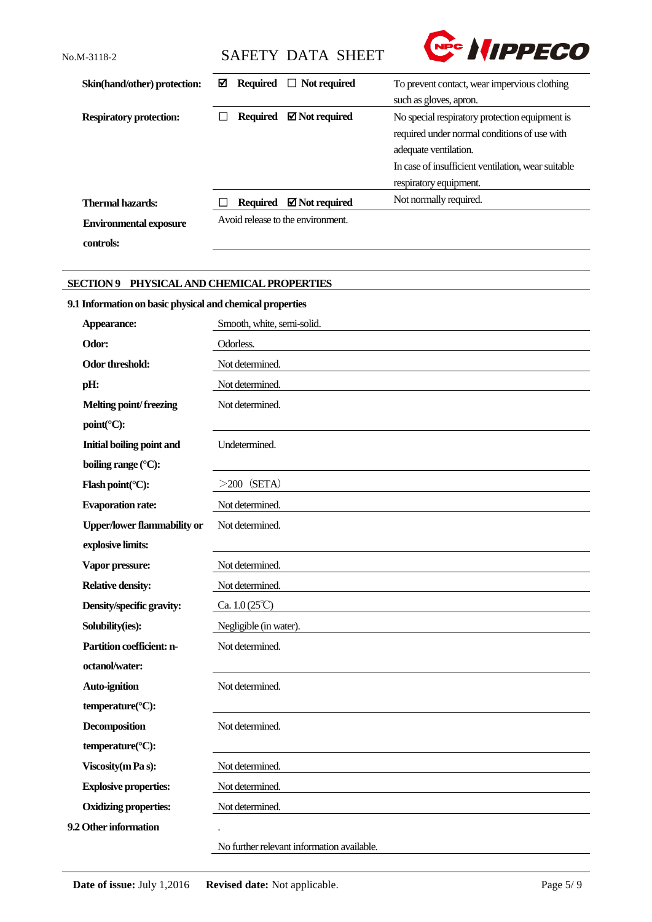Nec *NIPPECO* No.M-3118-2 SAFETY DATA SHEET Skin(hand/other) protection: **⊠** Required □ Not required To prevent contact, wear impervious clothing such as gloves, apron. **Respiratory protection: □ Required <b>Ø** Not required No special respiratory protection equipment is required under normal conditions of use with adequate ventilation. In case of insufficient ventilation, wear suitable respiratory equipment. Thermal hazards: □ Required **Ø Not required** Not normally required. Avoid release to the environment. **Environmental exposure controls:**

# **SECTION 9 PHYSICAL AND CHEMICAL PROPERTIES**

# **9.1 Information on basic physical and chemical properties**

| Appearance:                                | Smooth, white, semi-solid.                 |
|--------------------------------------------|--------------------------------------------|
| Odor:                                      | Odorless.                                  |
| Odor threshold:                            | Not determined.                            |
| pH:                                        | Not determined.                            |
| Melting point/freezing                     | Not determined.                            |
| $point$ <sup>(<math>\circ</math></sup> C): |                                            |
| Initial boiling point and                  | Undetermined.                              |
| boiling range (°C):                        |                                            |
| Flash point(°C):                           | $>200$ (SETA)                              |
| <b>Evaporation rate:</b>                   | Not determined.                            |
| <b>Upper/lower flammability or</b>         | Not determined.                            |
| explosive limits:                          |                                            |
| Vapor pressure:                            | Not determined.                            |
| <b>Relative density:</b>                   | Not determined.                            |
| Density/specific gravity:                  | Ca. $1.0(25^{\circ}\text{C})$              |
| Solubility(ies):                           | Negligible (in water).                     |
| Partition coefficient: n-                  | Not determined.                            |
| octanol/water:                             |                                            |
| <b>Auto-ignition</b>                       | Not determined.                            |
| temperature(°C):                           |                                            |
| <b>Decomposition</b>                       | Not determined.                            |
| temperature(°C):                           |                                            |
| Viscosity (m Pa s):                        | Not determined.                            |
| <b>Explosive properties:</b>               | Not determined.                            |
| <b>Oxidizing properties:</b>               | Not determined.                            |
| 9.2 Other information                      |                                            |
|                                            | No further relevant information available. |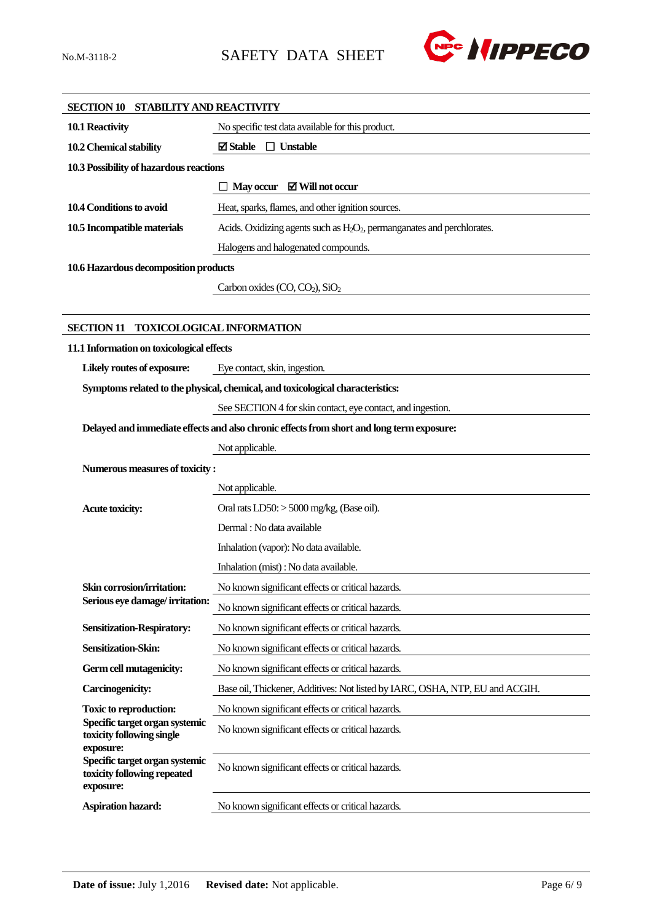

| SECTION 10 STABILITY AND REACTIVITY                           |                                                                                                 |
|---------------------------------------------------------------|-------------------------------------------------------------------------------------------------|
| 10.1 Reactivity                                               | No specific test data available for this product.                                               |
| 10.2 Chemical stability                                       | $\boxtimes$ Stable $\Box$ Unstable                                                              |
| 10.3 Possibility of hazardous reactions                       |                                                                                                 |
|                                                               | $\Box$ May occur $\boxtimes$ Will not occur                                                     |
| 10.4 Conditions to avoid                                      | Heat, sparks, flames, and other ignition sources.                                               |
| 10.5 Incompatible materials                                   | Acids. Oxidizing agents such as H <sub>2</sub> O <sub>2</sub> , permanganates and perchlorates. |
|                                                               | Halogens and halogenated compounds.                                                             |
| 10.6 Hazardous decomposition products                         |                                                                                                 |
|                                                               | Carbon oxides (CO, CO <sub>2</sub> ), SiO <sub>2</sub>                                          |
|                                                               |                                                                                                 |
| <b>SECTION 11</b>                                             | <b>TOXICOLOGICAL INFORMATION</b>                                                                |
| 11.1 Information on toxicological effects                     |                                                                                                 |
| Likely routes of exposure:                                    | Eye contact, skin, ingestion.                                                                   |
|                                                               | Symptoms related to the physical, chemical, and toxicological characteristics:                  |
|                                                               | See SECTION 4 for skin contact, eye contact, and ingestion.                                     |
|                                                               | Delayed and immediate effects and also chronic effects from short and long term exposure:       |
|                                                               | Not applicable.                                                                                 |
| Numerous measures of toxicity:                                |                                                                                                 |
|                                                               | Not applicable.                                                                                 |
| <b>Acute toxicity:</b>                                        | Oral rats $LD50$ : $> 5000$ mg/kg, (Base oil).                                                  |
|                                                               | Dermal : No data available                                                                      |
|                                                               | Inhalation (vapor): No data available.                                                          |
|                                                               | Inhalation (mist) : No data available.                                                          |
| Skin corrosion/irritation:                                    | No known significant effects or critical hazards.                                               |
| Serious eye damage/irritation:                                | No known significant effects or critical hazards.                                               |
| <b>Sensitization-Respiratory:</b>                             | No known significant effects or critical hazards.                                               |
| Sensitization-Skin:                                           | No known significant effects or critical hazards.                                               |
| Germ cell mutagenicity:                                       | No known significant effects or critical hazards.                                               |
| Carcinogenicity:                                              | Base oil, Thickener, Additives: Not listed by IARC, OSHA, NTP, EU and ACGIH.                    |
| <b>Toxic to reproduction:</b>                                 | No known significant effects or critical hazards.                                               |
| Specific target organ systemic<br>toxicity following single   | No known significant effects or critical hazards.                                               |
| exposure:                                                     |                                                                                                 |
| Specific target organ systemic<br>toxicity following repeated | No known significant effects or critical hazards.                                               |
| exposure:                                                     |                                                                                                 |
| Aspiration hazard:                                            | No known significant effects or critical hazards.                                               |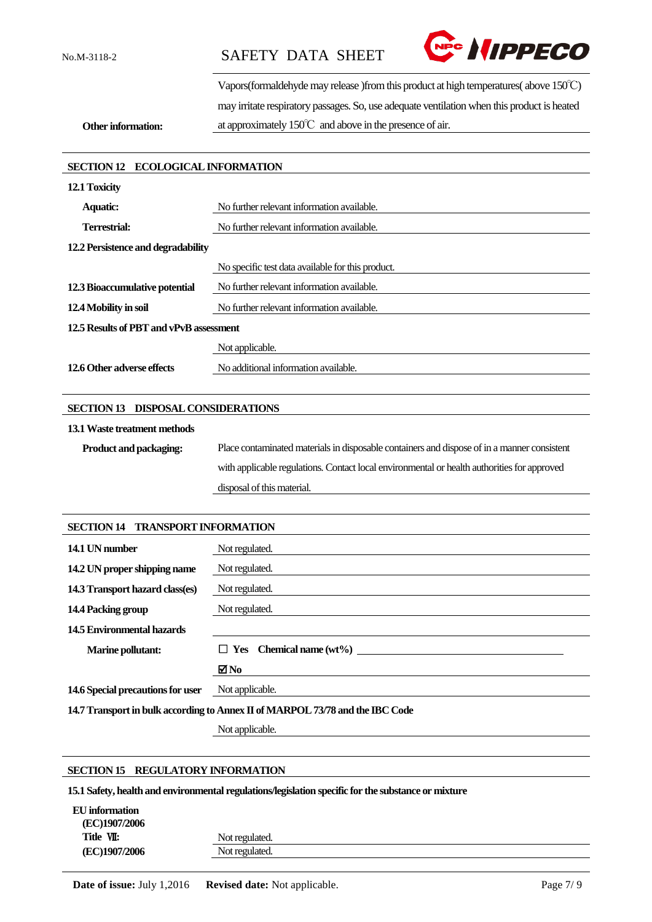No.M-3118-2 SAFETY DATA SHEET



Vapors(formaldehyde may release )from this product at high temperatures( above 150℃) may irritate respiratory passages. So, use adequate ventilation when this product is heated at approximately 150℃ and above in the presence of air.

**Other information:**

# **SECTION 12 ECOLOGICAL INFORMATION 12.1 Toxicity** Aquatic: No further relevant information available. **Terrestrial:** No further relevant information available. **12.2 Persistence and degradability** No specific test data available for this product. **12.3 Bioaccumulative potential** No further relevant information available. **12.4 Mobility in soil** No further relevant information available. **12.5 Results of PBT and vPvB assessment** Not applicable. **12.6 Other adverse effects** No additional information available.

# **SECTION 13 DISPOSAL CONSIDERATIONS**

#### **13.1Waste treatment methods**

**Product and packaging:** Place contaminated materials in disposable containers and dispose of in a manner consistent with applicable regulations. Contact local environmental or health authorities for approved disposal of this material.

#### **SECTION 14 TRANSPORT INFORMATION**

| 14.1 UN number                                                                | Not regulated.                    |  |
|-------------------------------------------------------------------------------|-----------------------------------|--|
|                                                                               |                                   |  |
| 14.2 UN proper shipping name                                                  | Not regulated.                    |  |
| 14.3 Transport hazard class(es)                                               | Not regulated.                    |  |
| 14.4 Packing group                                                            | Not regulated.                    |  |
| 14.5 Environmental hazards                                                    |                                   |  |
| <b>Marine pollutant:</b>                                                      | $\Box$ Yes Chemical name $(wt\%)$ |  |
|                                                                               | $\blacksquare$ No                 |  |
| 14.6 Special precautions for user                                             | Not applicable.                   |  |
| 14.7 Transport in bulk according to Annex II of MARPOL 73/78 and the IBC Code |                                   |  |

Not applicable.

#### **SECTION 15 REGULATORY INFORMATION**

**15.1 Safety, health and environmental regulations/legislation specific for the substance or mixture**

| EU information |                |
|----------------|----------------|
| (EC)1907/2006  |                |
| Title VII:     | Not regulated. |
| (EC)1907/2006  | Not regulated. |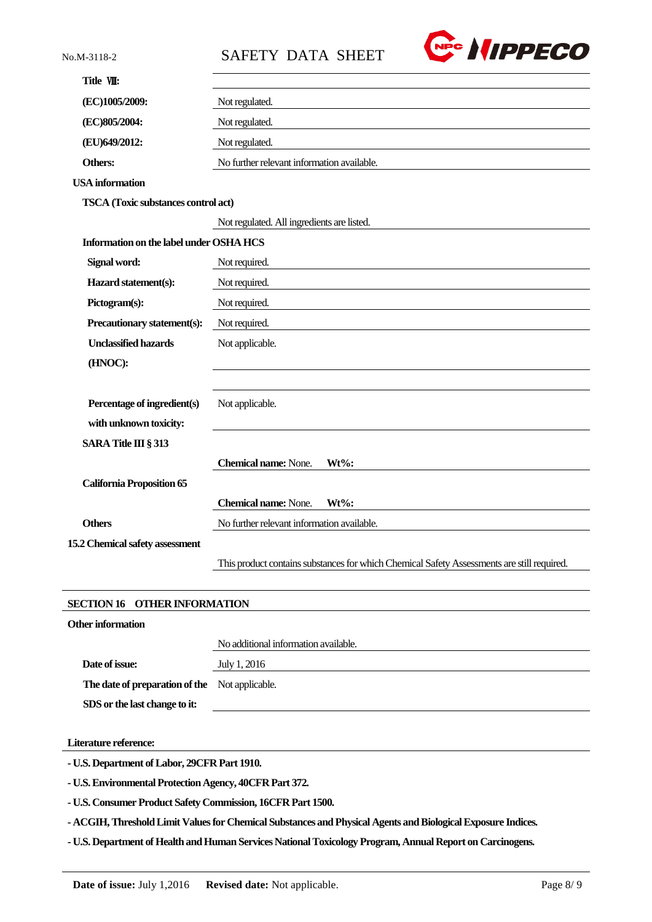| No.M-3118-2                                | <b>REC HIPPECO</b><br><b>SAFETY DATA SHEET</b>                                             |
|--------------------------------------------|--------------------------------------------------------------------------------------------|
| Title VIII:                                |                                                                                            |
| (EC)1005/2009:                             | Not regulated.                                                                             |
| (EC)805/2004:                              | Not regulated.                                                                             |
| (EU)649/2012:                              | Not regulated.                                                                             |
| <b>Others:</b>                             | No further relevant information available.                                                 |
| <b>USA</b> information                     |                                                                                            |
| <b>TSCA</b> (Toxic substances control act) |                                                                                            |
|                                            | Not regulated. All ingredients are listed.                                                 |
| Information on the label under OSHA HCS    |                                                                                            |
| Signal word:                               | Not required.                                                                              |
| Hazard statement(s):                       | Not required.                                                                              |
| Pictogram(s):                              | Not required.                                                                              |
| Precautionary statement(s):                | Not required.                                                                              |
| <b>Unclassified hazards</b>                | Not applicable.                                                                            |
| (HNOC):                                    |                                                                                            |
|                                            |                                                                                            |
| Percentage of ingredient(s)                | Not applicable.                                                                            |
| with unknown toxicity:                     |                                                                                            |
| SARA Title III § 313                       |                                                                                            |
|                                            | <b>Chemical name:</b> None.<br>Wt%:                                                        |
| <b>California Proposition 65</b>           |                                                                                            |
|                                            | <b>Chemical name: None.</b><br>$Wt\%$ :                                                    |
| <b>Others</b>                              | No further relevant information available.                                                 |
| 15.2 Chemical safety assessment            |                                                                                            |
|                                            | This product contains substances for which Chemical Safety Assessments are still required. |

#### **SECTION 16 OTHER INFORMATION**

| Other information                              |                                      |
|------------------------------------------------|--------------------------------------|
|                                                | No additional information available. |
| Date of issue:                                 | July 1, 2016                         |
| The date of preparation of the Not applicable. |                                      |
| SDS or the last change to it:                  |                                      |

**Literature reference:**

**- U.S. Department of Labor, 29CFR Part 1910.**

**- U.S. Environmental Protection Agency, 40CFR Part 372.**

**- U.S. Consumer Product Safety Commission, 16CFR Part 1500.**

**- ACGIH, Threshold Limit Values for Chemical Substances and Physical Agents and Biological Exposure Indices.**

**- U.S. Department of Health and Human Services National Toxicology Program, Annual Report on Carcinogens.**